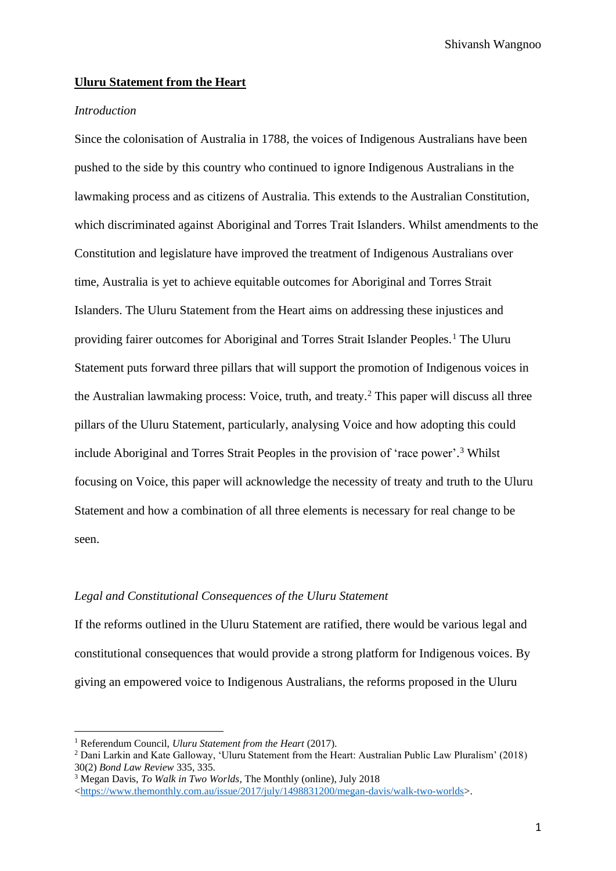#### **Uluru Statement from the Heart**

## *Introduction*

Since the colonisation of Australia in 1788, the voices of Indigenous Australians have been pushed to the side by this country who continued to ignore Indigenous Australians in the lawmaking process and as citizens of Australia. This extends to the Australian Constitution, which discriminated against Aboriginal and Torres Trait Islanders. Whilst amendments to the Constitution and legislature have improved the treatment of Indigenous Australians over time, Australia is yet to achieve equitable outcomes for Aboriginal and Torres Strait Islanders. The Uluru Statement from the Heart aims on addressing these injustices and providing fairer outcomes for Aboriginal and Torres Strait Islander Peoples.<sup>1</sup> The Uluru Statement puts forward three pillars that will support the promotion of Indigenous voices in the Australian lawmaking process: Voice, truth, and treaty.<sup>2</sup> This paper will discuss all three pillars of the Uluru Statement, particularly, analysing Voice and how adopting this could include Aboriginal and Torres Strait Peoples in the provision of 'race power'. <sup>3</sup> Whilst focusing on Voice, this paper will acknowledge the necessity of treaty and truth to the Uluru Statement and how a combination of all three elements is necessary for real change to be seen.

## *Legal and Constitutional Consequences of the Uluru Statement*

If the reforms outlined in the Uluru Statement are ratified, there would be various legal and constitutional consequences that would provide a strong platform for Indigenous voices. By giving an empowered voice to Indigenous Australians, the reforms proposed in the Uluru

<sup>1</sup> Referendum Council, *Uluru Statement from the Heart* (2017).

<sup>2</sup> Dani Larkin and Kate Galloway, 'Uluru Statement from the Heart: Australian Public Law Pluralism' (2018) 30(2) *Bond Law Review* 335, 335.

<sup>3</sup> Megan Davis, *To Walk in Two Worlds*, The Monthly (online), July 2018

 $\lt$ https://www.themonthly.com.au/issue/2017/july/1498831200/megan-davis/walk-two-worlds>.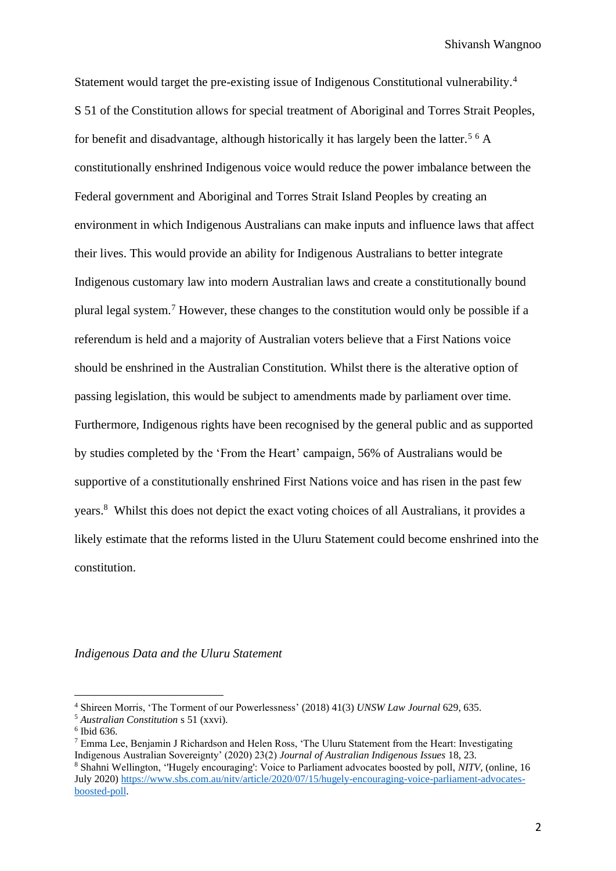Statement would target the pre-existing issue of Indigenous Constitutional vulnerability.<sup>4</sup> S 51 of the Constitution allows for special treatment of Aboriginal and Torres Strait Peoples, for benefit and disadvantage, although historically it has largely been the latter.<sup>5 6</sup> A constitutionally enshrined Indigenous voice would reduce the power imbalance between the Federal government and Aboriginal and Torres Strait Island Peoples by creating an environment in which Indigenous Australians can make inputs and influence laws that affect their lives. This would provide an ability for Indigenous Australians to better integrate Indigenous customary law into modern Australian laws and create a constitutionally bound plural legal system.<sup>7</sup> However, these changes to the constitution would only be possible if a referendum is held and a majority of Australian voters believe that a First Nations voice should be enshrined in the Australian Constitution. Whilst there is the alterative option of passing legislation, this would be subject to amendments made by parliament over time. Furthermore, Indigenous rights have been recognised by the general public and as supported by studies completed by the 'From the Heart' campaign, 56% of Australians would be supportive of a constitutionally enshrined First Nations voice and has risen in the past few years. <sup>8</sup> Whilst this does not depict the exact voting choices of all Australians, it provides a likely estimate that the reforms listed in the Uluru Statement could become enshrined into the constitution.

*Indigenous Data and the Uluru Statement*

<sup>4</sup> Shireen Morris, 'The Torment of our Powerlessness' (2018) 41(3) *UNSW Law Journal* 629, 635.

<sup>5</sup> *Australian Constitution* s 51 (xxvi).

<sup>6</sup> Ibid 636.

 $<sup>7</sup>$  Emma Lee, Benjamin J Richardson and Helen Ross, 'The Uluru Statement from the Heart: Investigating</sup> Indigenous Australian Sovereignty' (2020) 23(2) *Journal of Australian Indigenous Issues* 18, 23.

<sup>8</sup> Shahni Wellington, ''Hugely encouraging': Voice to Parliament advocates boosted by poll, *NITV,* (online, 16 July 2020) [https://www.sbs.com.au/nitv/article/2020/07/15/hugely-encouraging-voice-parliament-advocates](https://www.sbs.com.au/nitv/article/2020/07/15/hugely-encouraging-voice-parliament-advocates-boosted-poll)[boosted-poll.](https://www.sbs.com.au/nitv/article/2020/07/15/hugely-encouraging-voice-parliament-advocates-boosted-poll)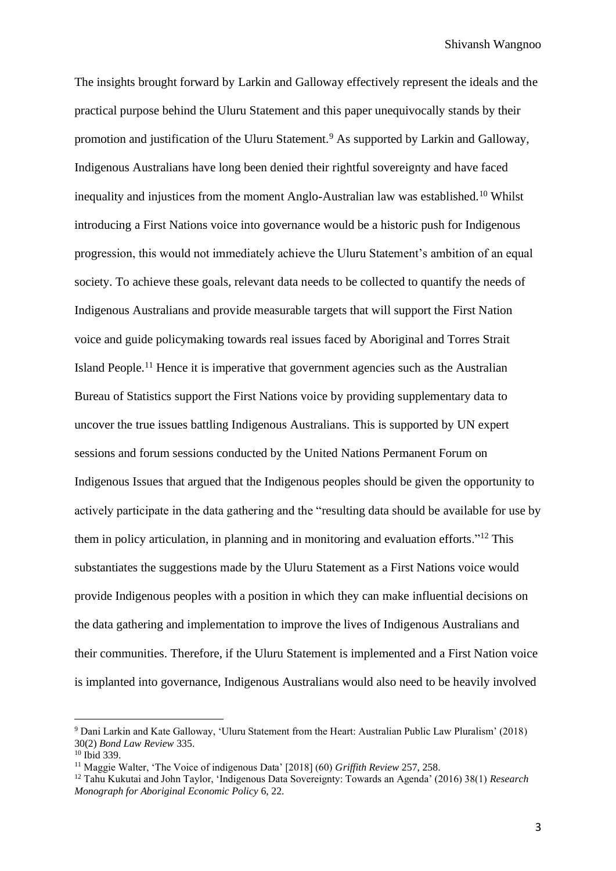The insights brought forward by Larkin and Galloway effectively represent the ideals and the practical purpose behind the Uluru Statement and this paper unequivocally stands by their promotion and justification of the Uluru Statement.<sup>9</sup> As supported by Larkin and Galloway, Indigenous Australians have long been denied their rightful sovereignty and have faced inequality and injustices from the moment Anglo-Australian law was established.<sup>10</sup> Whilst introducing a First Nations voice into governance would be a historic push for Indigenous progression, this would not immediately achieve the Uluru Statement's ambition of an equal society. To achieve these goals, relevant data needs to be collected to quantify the needs of Indigenous Australians and provide measurable targets that will support the First Nation voice and guide policymaking towards real issues faced by Aboriginal and Torres Strait Island People.<sup>11</sup> Hence it is imperative that government agencies such as the Australian Bureau of Statistics support the First Nations voice by providing supplementary data to uncover the true issues battling Indigenous Australians. This is supported by UN expert sessions and forum sessions conducted by the United Nations Permanent Forum on Indigenous Issues that argued that the Indigenous peoples should be given the opportunity to actively participate in the data gathering and the "resulting data should be available for use by them in policy articulation, in planning and in monitoring and evaluation efforts."<sup>12</sup> This substantiates the suggestions made by the Uluru Statement as a First Nations voice would provide Indigenous peoples with a position in which they can make influential decisions on the data gathering and implementation to improve the lives of Indigenous Australians and their communities. Therefore, if the Uluru Statement is implemented and a First Nation voice is implanted into governance, Indigenous Australians would also need to be heavily involved

<sup>9</sup> Dani Larkin and Kate Galloway, 'Uluru Statement from the Heart: Australian Public Law Pluralism' (2018) 30(2) *Bond Law Review* 335.

 $10$  Ibid 339

<sup>11</sup> Maggie Walter, 'The Voice of indigenous Data' [2018] (60) *Griffith Review* 257, 258.

<sup>12</sup> Tahu Kukutai and John Taylor, 'Indigenous Data Sovereignty: Towards an Agenda' (2016) 38(1) *Research Monograph for Aboriginal Economic Policy* 6, 22.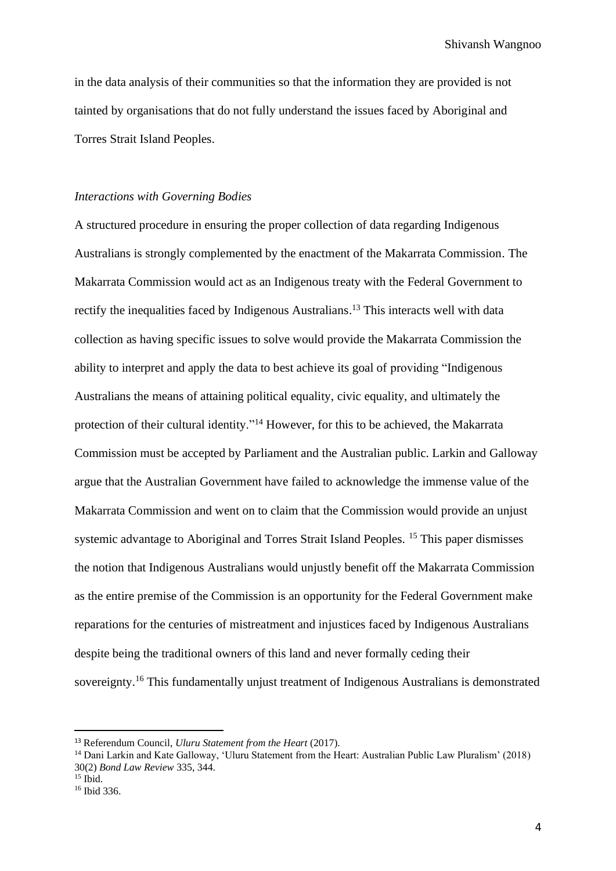in the data analysis of their communities so that the information they are provided is not tainted by organisations that do not fully understand the issues faced by Aboriginal and Torres Strait Island Peoples.

#### *Interactions with Governing Bodies*

A structured procedure in ensuring the proper collection of data regarding Indigenous Australians is strongly complemented by the enactment of the Makarrata Commission. The Makarrata Commission would act as an Indigenous treaty with the Federal Government to rectify the inequalities faced by Indigenous Australians.<sup>13</sup> This interacts well with data collection as having specific issues to solve would provide the Makarrata Commission the ability to interpret and apply the data to best achieve its goal of providing "Indigenous Australians the means of attaining political equality, civic equality, and ultimately the protection of their cultural identity."<sup>14</sup> However, for this to be achieved, the Makarrata Commission must be accepted by Parliament and the Australian public. Larkin and Galloway argue that the Australian Government have failed to acknowledge the immense value of the Makarrata Commission and went on to claim that the Commission would provide an unjust systemic advantage to Aboriginal and Torres Strait Island Peoples. <sup>15</sup> This paper dismisses the notion that Indigenous Australians would unjustly benefit off the Makarrata Commission as the entire premise of the Commission is an opportunity for the Federal Government make reparations for the centuries of mistreatment and injustices faced by Indigenous Australians despite being the traditional owners of this land and never formally ceding their sovereignty.<sup>16</sup> This fundamentally unjust treatment of Indigenous Australians is demonstrated

<sup>13</sup> Referendum Council, *Uluru Statement from the Heart* (2017).

<sup>14</sup> Dani Larkin and Kate Galloway, 'Uluru Statement from the Heart: Australian Public Law Pluralism' (2018) 30(2) *Bond Law Review* 335, 344.

 $15$  Ibid.

<sup>16</sup> Ibid 336.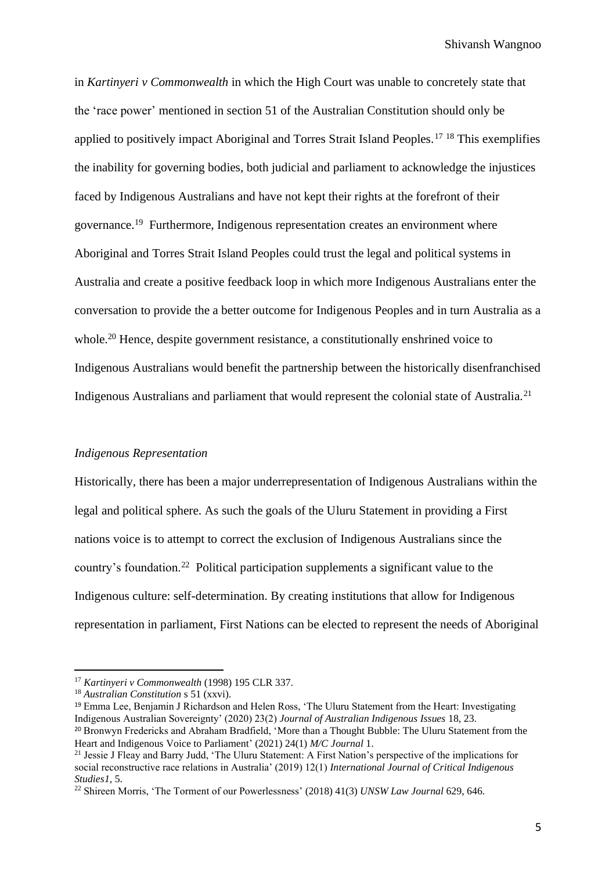in *Kartinyeri v Commonwealth* in which the High Court was unable to concretely state that the 'race power' mentioned in section 51 of the Australian Constitution should only be applied to positively impact Aboriginal and Torres Strait Island Peoples.<sup>17</sup> <sup>18</sup> This exemplifies the inability for governing bodies, both judicial and parliament to acknowledge the injustices faced by Indigenous Australians and have not kept their rights at the forefront of their governance.<sup>19</sup> Furthermore, Indigenous representation creates an environment where Aboriginal and Torres Strait Island Peoples could trust the legal and political systems in Australia and create a positive feedback loop in which more Indigenous Australians enter the conversation to provide the a better outcome for Indigenous Peoples and in turn Australia as a whole.<sup>20</sup> Hence, despite government resistance, a constitutionally enshrined voice to Indigenous Australians would benefit the partnership between the historically disenfranchised Indigenous Australians and parliament that would represent the colonial state of Australia.<sup>21</sup>

#### *Indigenous Representation*

Historically, there has been a major underrepresentation of Indigenous Australians within the legal and political sphere. As such the goals of the Uluru Statement in providing a First nations voice is to attempt to correct the exclusion of Indigenous Australians since the country's foundation.<sup>22</sup> Political participation supplements a significant value to the Indigenous culture: self-determination. By creating institutions that allow for Indigenous representation in parliament, First Nations can be elected to represent the needs of Aboriginal

<sup>17</sup> *Kartinyeri v Commonwealth* (1998) 195 CLR 337.

<sup>18</sup> *Australian Constitution* s 51 (xxvi).

<sup>19</sup> Emma Lee, Benjamin J Richardson and Helen Ross, 'The Uluru Statement from the Heart: Investigating Indigenous Australian Sovereignty' (2020) 23(2) *Journal of Australian Indigenous Issues* 18, 23.

<sup>&</sup>lt;sup>20</sup> Bronwyn Fredericks and Abraham Bradfield, 'More than a Thought Bubble: The Uluru Statement from the Heart and Indigenous Voice to Parliament' (2021) 24(1) *M/C Journal* 1.

<sup>&</sup>lt;sup>21</sup> Jessie J Fleay and Barry Judd, 'The Uluru Statement: A First Nation's perspective of the implications for social reconstructive race relations in Australia' (2019) 12(1) *International Journal of Critical Indigenous Studies1*, 5.

<sup>22</sup> Shireen Morris, 'The Torment of our Powerlessness' (2018) 41(3) *UNSW Law Journal* 629, 646.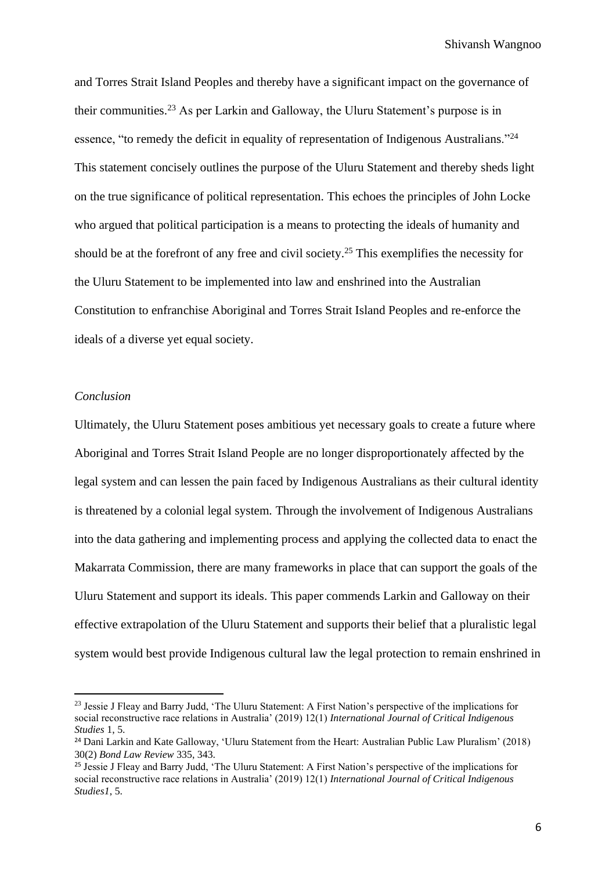and Torres Strait Island Peoples and thereby have a significant impact on the governance of their communities.<sup>23</sup> As per Larkin and Galloway, the Uluru Statement's purpose is in essence, "to remedy the deficit in equality of representation of Indigenous Australians."<sup>24</sup> This statement concisely outlines the purpose of the Uluru Statement and thereby sheds light on the true significance of political representation. This echoes the principles of John Locke who argued that political participation is a means to protecting the ideals of humanity and should be at the forefront of any free and civil society.<sup>25</sup> This exemplifies the necessity for the Uluru Statement to be implemented into law and enshrined into the Australian Constitution to enfranchise Aboriginal and Torres Strait Island Peoples and re-enforce the ideals of a diverse yet equal society.

## *Conclusion*

Ultimately, the Uluru Statement poses ambitious yet necessary goals to create a future where Aboriginal and Torres Strait Island People are no longer disproportionately affected by the legal system and can lessen the pain faced by Indigenous Australians as their cultural identity is threatened by a colonial legal system. Through the involvement of Indigenous Australians into the data gathering and implementing process and applying the collected data to enact the Makarrata Commission, there are many frameworks in place that can support the goals of the Uluru Statement and support its ideals. This paper commends Larkin and Galloway on their effective extrapolation of the Uluru Statement and supports their belief that a pluralistic legal system would best provide Indigenous cultural law the legal protection to remain enshrined in

<sup>&</sup>lt;sup>23</sup> Jessie J Fleay and Barry Judd, 'The Uluru Statement: A First Nation's perspective of the implications for social reconstructive race relations in Australia' (2019) 12(1) *International Journal of Critical Indigenous Studies* 1, 5.

<sup>&</sup>lt;sup>24</sup> Dani Larkin and Kate Galloway, 'Uluru Statement from the Heart: Australian Public Law Pluralism' (2018) 30(2) *Bond Law Review* 335, 343.

<sup>25</sup> Jessie J Fleay and Barry Judd, 'The Uluru Statement: A First Nation's perspective of the implications for social reconstructive race relations in Australia' (2019) 12(1) *International Journal of Critical Indigenous Studies1*, 5.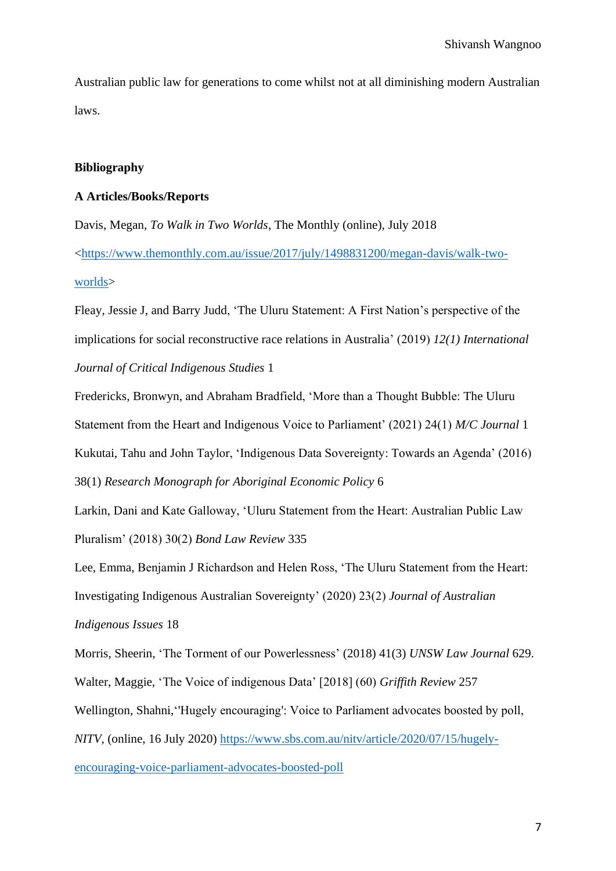Australian public law for generations to come whilst not at all diminishing modern Australian laws.

## **Bibliography**

## **A Articles/Books/Reports**

Davis, Megan, *To Walk in Two Worlds*, The Monthly (online), July 2018 [<https://www.themonthly.com.au/issue/2017/july/1498831200/megan-davis/walk-two](https://www.themonthly.com.au/issue/2017/july/1498831200/megan-davis/walk-two-worlds)[worlds>](https://www.themonthly.com.au/issue/2017/july/1498831200/megan-davis/walk-two-worlds)

Fleay, Jessie J, and Barry Judd, 'The Uluru Statement: A First Nation's perspective of the implications for social reconstructive race relations in Australia' (2019) *12(1) International Journal of Critical Indigenous Studies* 1

Fredericks, Bronwyn, and Abraham Bradfield, 'More than a Thought Bubble: The Uluru Statement from the Heart and Indigenous Voice to Parliament' (2021) 24(1) *M/C Journal* 1 Kukutai, Tahu and John Taylor, 'Indigenous Data Sovereignty: Towards an Agenda' (2016) 38(1) *Research Monograph for Aboriginal Economic Policy* 6

Larkin, Dani and Kate Galloway, 'Uluru Statement from the Heart: Australian Public Law Pluralism' (2018) 30(2) *Bond Law Review* 335

Lee, Emma, Benjamin J Richardson and Helen Ross, 'The Uluru Statement from the Heart: Investigating Indigenous Australian Sovereignty' (2020) 23(2) *Journal of Australian* 

*Indigenous Issues* 18

Morris, Sheerin, 'The Torment of our Powerlessness' (2018) 41(3) *UNSW Law Journal* 629. Walter, Maggie, 'The Voice of indigenous Data' [2018] (60) *Griffith Review* 257

Wellington, Shahni,''Hugely encouraging': Voice to Parliament advocates boosted by poll,

*NITV,* (online, 16 July 2020) [https://www.sbs.com.au/nitv/article/2020/07/15/hugely-](https://www.sbs.com.au/nitv/article/2020/07/15/hugely-encouraging-voice-parliament-advocates-boosted-poll)

[encouraging-voice-parliament-advocates-boosted-poll](https://www.sbs.com.au/nitv/article/2020/07/15/hugely-encouraging-voice-parliament-advocates-boosted-poll)